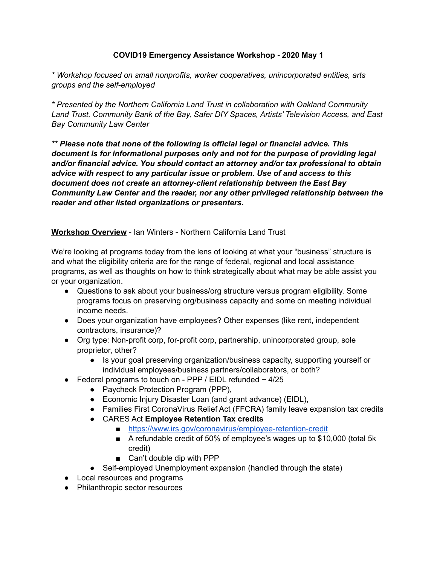## **COVID19 Emergency Assistance Workshop - 2020 May 1**

*\* Workshop focused on small nonprofits, worker cooperatives, unincorporated entities, arts groups and the self-employed* 

*\* Presented by the Northern California Land Trust in collaboration with Oakland Community Land Trust, Community Bank of the Bay, Safer DIY Spaces, Artists' Television Access, and East Bay Community Law Center* 

*\*\* Please note that none of the following is official legal or financial advice. This document is for informational purposes only and not for the purpose of providing legal and/or financial advice. You should contact an attorney and/or tax professional to obtain advice with respect to any particular issue or problem. Use of and access to this document does not create an attorney-client relationship between the East Bay Community Law Center and the reader, nor any other privileged relationship between the reader and other listed organizations or presenters.* 

## **Workshop Overview** - Ian Winters - Northern California Land Trust

We're looking at programs today from the lens of looking at what your "business" structure is and what the eligibility criteria are for the range of federal, regional and local assistance programs, as well as thoughts on how to think strategically about what may be able assist you or your organization.

- Questions to ask about your business/org structure versus program eligibility. Some programs focus on preserving org/business capacity and some on meeting individual income needs.
- Does your organization have employees? Other expenses (like rent, independent contractors, insurance)?
- Org type: Non-profit corp, for-profit corp, partnership, unincorporated group, sole proprietor, other?
	- Is your goal preserving organization/business capacity, supporting yourself or individual employees/business partners/collaborators, or both?
- Federal programs to touch on PPP / EIDL refunded  $\sim$  4/25
	- Paycheck Protection Program (PPP),
	- Economic Injury Disaster Loan (and grant advance) (EIDL),
	- Families First CoronaVirus Relief Act (FFCRA) family leave expansion tax credits
	- CARES Act **Employee Retention Tax credits**
		- <https://www.irs.gov/coronavirus/employee-retention-credit>
		- A refundable credit of 50% of employee's wages up to \$10,000 (total 5k credit)
		- Can't double dip with PPP
	- Self-employed Unemployment expansion (handled through the state)
- Local resources and programs
- Philanthropic sector resources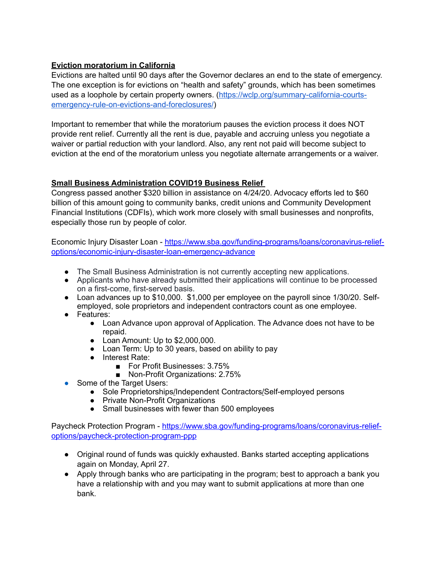### **Eviction moratorium in California**

Evictions are halted until 90 days after the Governor declares an end to the state of emergency. The one exception is for evictions on "health and safety" grounds, which has been sometimes used as a loophole by certain property owners. ([https://wclp.org/summary-california-courts](https://wclp.org/summary-california-courts-emergency-rule-on-evictions-and-foreclosures/)[emergency-rule-on-evictions-and-foreclosures/](https://wclp.org/summary-california-courts-emergency-rule-on-evictions-and-foreclosures/))

Important to remember that while the moratorium pauses the eviction process it does NOT provide rent relief. Currently all the rent is due, payable and accruing unless you negotiate a waiver or partial reduction with your landlord. Also, any rent not paid will become subject to eviction at the end of the moratorium unless you negotiate alternate arrangements or a waiver.

### **Small Business Administration COVID19 Business Relief**

Congress passed another \$320 billion in assistance on 4/24/20. Advocacy efforts led to \$60 billion of this amount going to community banks, credit unions and Community Development Financial Institutions (CDFIs), which work more closely with small businesses and nonprofits, especially those run by people of color.

[Economic Injury Disaster Loan - https://www.sba.gov/funding-programs/loans/coronavirus-relief](https://www.sba.gov/funding-programs/loans/coronavirus-relief-options/economic-injury-disaster-loan-emergency-advance)[options/economic-injury-disaster-loan-emergency-advance](https://www.sba.gov/funding-programs/loans/coronavirus-relief-options/economic-injury-disaster-loan-emergency-advance) 

- The Small Business Administration is not currently accepting new applications.
- Applicants who have already submitted their applications will continue to be processed on a first-come, first-served basis.
- Loan advances up to \$10,000. \$1,000 per employee on the payroll since 1/30/20. Selfemployed, sole proprietors and independent contractors count as one employee.
- Features:
	- Loan Advance upon approval of Application. The Advance does not have to be repaid.
	- Loan Amount: Up to \$2,000,000.
	- Loan Term: Up to 30 years, based on ability to pay
	- Interest Rate:
		- For Profit Businesses: 3.75%
		- Non-Profit Organizations: 2.75%
- Some of the Target Users:
	- Sole Proprietorships/Independent Contractors/Self-employed persons
	- Private Non-Profit Organizations
	- Small businesses with fewer than 500 employees

[Paycheck Protection Program - https://www.sba.gov/funding-programs/loans/coronavirus-relief](https://www.sba.gov/funding-programs/loans/coronavirus-relief-options/paycheck-protection-program-ppp)[options/paycheck-protection-program-ppp](https://www.sba.gov/funding-programs/loans/coronavirus-relief-options/paycheck-protection-program-ppp) 

- Original round of funds was quickly exhausted. Banks started accepting applications again on Monday, April 27.
- Apply through banks who are participating in the program; best to approach a bank you have a relationship with and you may want to submit applications at more than one bank.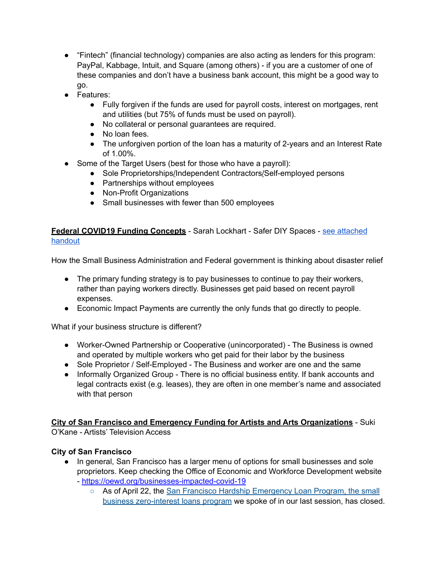- "Fintech" (financial technology) companies are also acting as lenders for this program: PayPal, Kabbage, Intuit, and Square (among others) - if you are a customer of one of these companies and don't have a business bank account, this might be a good way to go.
- Features:
	- Fully forgiven if the funds are used for payroll costs, interest on mortgages, rent and utilities (but 75% of funds must be used on payroll).
	- No collateral or personal guarantees are required.
	- No loan fees.
	- The unforgiven portion of the loan has a maturity of 2-years and an Interest Rate of 1.00%.
- Some of the Target Users (best for those who have a payroll):
	- Sole Proprietorships/Independent Contractors/Self-employed persons
	- Partnerships without employees
	- Non-Profit Organizations
	- Small businesses with fewer than 500 employees

## **Federal COVID19 Funding Concepts** - Sarah Lockhart - Safer DIY Spaces - [see attached](https://drive.google.com/a/nclt.org/open?id=1IB0p88zzkWqgdh8FK5UP4RjdjPhyRMJxWSpe38J1E3Q)  [handout](https://drive.google.com/a/nclt.org/open?id=1IB0p88zzkWqgdh8FK5UP4RjdjPhyRMJxWSpe38J1E3Q)

How the Small Business Administration and Federal government is thinking about disaster relief

- The primary funding strategy is to pay businesses to continue to pay their workers, rather than paying workers directly. Businesses get paid based on recent payroll expenses.
- Economic Impact Payments are currently the only funds that go directly to people.

What if your business structure is different?

- Worker-Owned Partnership or Cooperative (unincorporated) The Business is owned and operated by multiple workers who get paid for their labor by the business
- Sole Proprietor / Self-Employed The Business and worker are one and the same
- Informally Organized Group There is no official business entity. If bank accounts and legal contracts exist (e.g. leases), they are often in one member's name and associated with that person

# **City of San Francisco and Emergency Funding for Artists and Arts Organizations** - Suki

O'Kane - Artists' Television Access

## **City of San Francisco**

- In general, San Francisco has a larger menu of options for small businesses and sole proprietors. Keep checking the Office of Economic and Workforce Development website -<https://oewd.org/businesses-impacted-covid-19>
	- As of April 22, the San Francisco Hardship Emergency Loan Program, the small [business zero-interest loans program](https://oewd.org/businesses-impacted-covid-19%23Loans) we spoke of in our last session, has closed.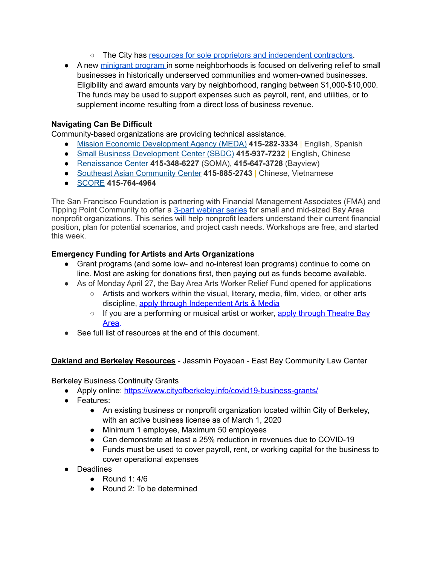- The City has [resources for sole proprietors and independent contractors](https://oewd.org/businesses-impacted-covid-19%23Help%2520for%2520Self-Employed).
- A new [minigrant program](https://sf.gov/apply-small-business-mini-grant) in some neighborhoods is focused on delivering relief to small businesses in historically underserved communities and women-owned businesses. Eligibility and award amounts vary by neighborhood, ranging between \$1,000-\$10,000. The funds may be used to support expenses such as payroll, rent, and utilities, or to supplement income resulting from a direct loss of business revenue.

## **Navigating Can Be Difficult**

Community-based organizations are providing technical assistance.

- [Mission Economic Development Agency \(MEDA\)](https://medasf.org/) **415-282-3334** | English, Spanish
- [Small Business Development Center \(SBDC\)](https://www.sfsbdc.org/index_san_francisco) **415-937-7232** | English, Chinese
- [Renaissance Center](https://www.rencenter.org/) **415-348-6227** (SOMA), **415-647-3728** (Bayview)
- [Southeast Asian Community Center](https://www.seaccusa.org/) **415-885-2743** | Chinese, Vietnamese
- [SCORE](https://sanfrancisco.score.org/) **415-764-4964**

The San Francisco Foundation is partnering with Financial Management Associates (FMA) and Tipping Point Community to offer a [3-part webinar series](https://sff.org/covid-19-resources-for-nonprofits/) for small and mid-sized Bay Area nonprofit organizations. This series will help nonprofit leaders understand their current financial position, plan for potential scenarios, and project cash needs. Workshops are free, and started this week.

## **Emergency Funding for Artists and Arts Organizations**

- Grant programs (and some low- and no-interest loan programs) continue to come on line. Most are asking for donations first, then paying out as funds become available.
- As of Monday April 27, the Bay Area Arts Worker Relief Fund opened for applications
	- Artists and workers within the visual, literary, media, film, video, or other arts discipline[, apply through Independent Arts & Media](https://www.artsandmedia.net/bay-area-relief-application/)
	- $\circ$  If you are a performing or musical artist or worker, apply through Theatre Bay [Area](https://www.theatrebayarea.org/page/COVID-19relief-fund).
- See full list of resources at the end of this document.

## **Oakland and Berkeley Resources** - Jassmin Poyaoan - East Bay Community Law Center

Berkeley Business Continuity Grants

- Apply online:<https://www.cityofberkeley.info/covid19-business-grants/>
- Features:
	- An existing business or nonprofit organization located within City of Berkeley, with an active business license as of March 1, 2020
	- Minimum 1 employee, Maximum 50 employees
	- Can demonstrate at least a 25% reduction in revenues due to COVID-19
	- Funds must be used to cover payroll, rent, or working capital for the business to cover operational expenses
- Deadlines
	- Round 1: 4/6
	- Round 2: To be determined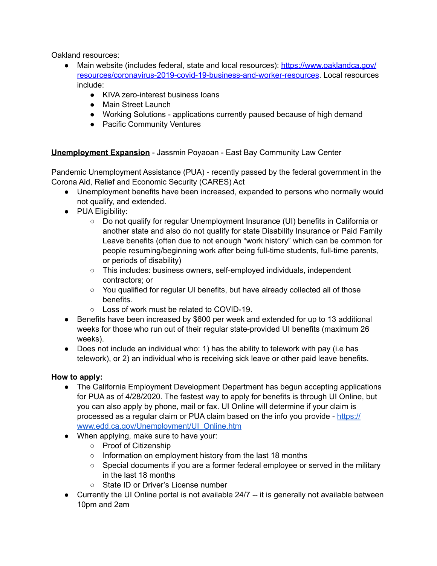Oakland resources:

- [Main website \(includes federal, state and local resources\): https://www.oaklandca.gov/](https://www.oaklandca.gov/resources/coronavirus-2019-covid-19-business-and-worker-resources) [resources/coronavirus-2019-covid-19-business-and-worker-resources](https://www.oaklandca.gov/resources/coronavirus-2019-covid-19-business-and-worker-resources). Local resources include:
	- KIVA zero-interest business loans
	- Main Street Launch
	- Working Solutions applications currently paused because of high demand
	- Pacific Community Ventures

**Unemployment Expansion** - Jassmin Poyaoan - East Bay Community Law Center

Pandemic Unemployment Assistance (PUA) - recently passed by the federal government in the Corona Aid, Relief and Economic Security (CARES) Act

- Unemployment benefits have been increased, expanded to persons who normally would not qualify, and extended.
- PUA Eligibility:
	- Do not qualify for regular Unemployment Insurance (UI) benefits in California or another state and also do not qualify for state Disability Insurance or Paid Family Leave benefits (often due to not enough "work history" which can be common for people resuming/beginning work after being full-time students, full-time parents, or periods of disability)
	- This includes: business owners, self-employed individuals, independent contractors; or
	- You qualified for regular UI benefits, but have already collected all of those benefits.
	- Loss of work must be related to COVID-19.
- Benefits have been increased by \$600 per week and extended for up to 13 additional weeks for those who run out of their regular state-provided UI benefits (maximum 26 weeks).
- Does not include an individual who: 1) has the ability to telework with pay (i.e has telework), or 2) an individual who is receiving sick leave or other paid leave benefits.

## **How to apply:**

- The California Employment Development Department has begun accepting applications for PUA as of 4/28/2020. The fastest way to apply for benefits is through UI Online, but you can also apply by phone, mail or fax. UI Online will determine if your claim is processed as a regular claim or PUA claim based on the info you provide - [https://](https://www.edd.ca.gov/Unemployment/UI_Online.htm) [www.edd.ca.gov/Unemployment/UI\\_Online.htm](https://www.edd.ca.gov/Unemployment/UI_Online.htm)
- When applying, make sure to have your:
	- Proof of Citizenship
	- Information on employment history from the last 18 months
	- Special documents if you are a former federal employee or served in the military in the last 18 months
	- State ID or Driver's License number
- Currently the UI Online portal is not available 24/7 -- it is generally not available between 10pm and 2am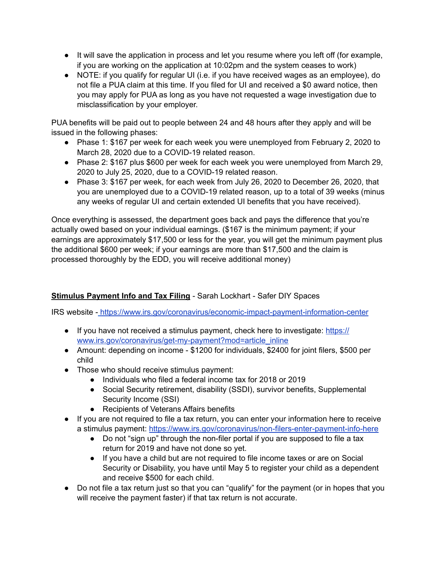- It will save the application in process and let you resume where you left off (for example, if you are working on the application at 10:02pm and the system ceases to work)
- NOTE: if you qualify for regular UI (i.e. if you have received wages as an employee), do not file a PUA claim at this time. If you filed for UI and received a \$0 award notice, then you may apply for PUA as long as you have not requested a wage investigation due to misclassification by your employer.

PUA benefits will be paid out to people between 24 and 48 hours after they apply and will be issued in the following phases:

- Phase 1: \$167 per week for each week you were unemployed from February 2, 2020 to March 28, 2020 due to a COVID-19 related reason.
- Phase 2: \$167 plus \$600 per week for each week you were unemployed from March 29, 2020 to July 25, 2020, due to a COVID-19 related reason.
- Phase 3: \$167 per week, for each week from July 26, 2020 to December 26, 2020, that you are unemployed due to a COVID-19 related reason, up to a total of 39 weeks (minus any weeks of regular UI and certain extended UI benefits that you have received).

Once everything is assessed, the department goes back and pays the difference that you're actually owed based on your individual earnings. (\$167 is the minimum payment; if your earnings are approximately \$17,500 or less for the year, you will get the minimum payment plus the additional \$600 per week; if your earnings are more than \$17,500 and the claim is processed thoroughly by the EDD, you will receive additional money)

# **Stimulus Payment Info and Tax Filing** - Sarah Lockhart - Safer DIY Spaces

IRS website [-](https://www.irs.gov/coronavirus/economic-impact-payment-information-center) <https://www.irs.gov/coronavirus/economic-impact-payment-information-center>

- If you have not received a stimulus payment, check here to investigate[: https://](https://www.irs.gov/coronavirus/get-my-payment?mod=article_inline) [www.irs.gov/coronavirus/get-my-payment?mod=article\\_inline](https://www.irs.gov/coronavirus/get-my-payment?mod=article_inline)
- Amount: depending on income \$1200 for individuals, \$2400 for joint filers, \$500 per child
- Those who should receive stimulus payment:
	- Individuals who filed a federal income tax for 2018 or 2019
	- Social Security retirement, disability (SSDI), survivor benefits, Supplemental Security Income (SSI)
	- Recipients of Veterans Affairs benefits
- If you are not required to file a tax return, you can enter your information here to receive a stimulus payment:<https://www.irs.gov/coronavirus/non-filers-enter-payment-info-here>
	- Do not "sign up" through the non-filer portal if you are supposed to file a tax return for 2019 and have not done so yet.
	- If you have a child but are not required to file income taxes or are on Social Security or Disability, you have until May 5 to register your child as a dependent and receive \$500 for each child.
- Do not file a tax return just so that you can "qualify" for the payment (or in hopes that you will receive the payment faster) if that tax return is not accurate.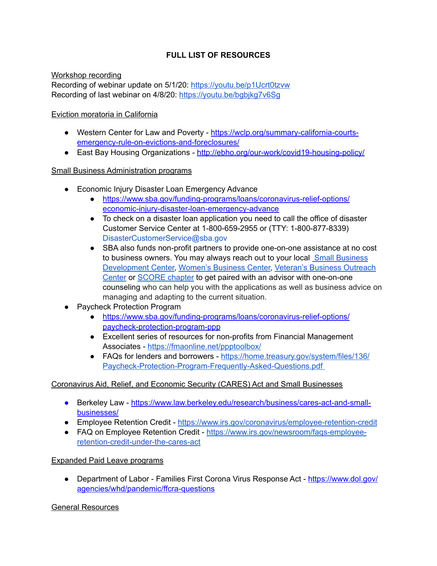# **FULL LIST OF RESOURCES**

Workshop recording Recording of webinar update on 5/1/20: <https://youtu.be/p1Ucrt0tzvw> Recording of last webinar on 4/8/20:<https://youtu.be/bgbjkg7v6Sg>

### Eviction moratoria in California

- Western Center for Law and Poverty  [https://wclp.org/summary-california-courts](https://wclp.org/summary-california-courts-emergency-rule-on-evictions-and-foreclosures/)[emergency-rule-on-evictions-and-foreclosures/](https://wclp.org/summary-california-courts-emergency-rule-on-evictions-and-foreclosures/)
- East Bay Housing Organizations http://ebho.org/our-work/covid19-housing-policy/

### Small Business Administration programs

- Economic Injury Disaster Loan Emergency Advance
	- [https://www.sba.gov/funding-programs/loans/coronavirus-relief-options/](https://www.sba.gov/funding-programs/loans/coronavirus-relief-options/economic-injury-disaster-loan-emergency-advance) [economic-injury-disaster-loan-emergency-advance](https://www.sba.gov/funding-programs/loans/coronavirus-relief-options/economic-injury-disaster-loan-emergency-advance)
	- To check on a disaster loan application you need to call the office of disaster Customer Service Center at 1-800-659-2955 or (TTY: 1-800-877-8339) [DisasterCustomerService@sba.gov](mailto:DisasterCustomerService@sba.gov)
	- SBA also funds non-profit partners to provide one-on-one assistance at no cost to business owners. You may always reach out to your local [Small Business](https://www.norcalsbdc.org/)  [Development Center,](https://www.norcalsbdc.org/) [Women's Business Center,](https://www.sba.gov/local-assistance/find/?type=Women%2527s%2520Business%2520Center&pageNumber=1) [Veteran's Business Outreach](https://www.sba.gov/offices/headquarters/ovbd/resources/1548576)  [Center](https://www.sba.gov/offices/headquarters/ovbd/resources/1548576) or [SCORE chapter](https://www.score.org/) to get paired with an advisor with one-on-one counseling who can help you with the applications as well as business advice on managing and adapting to the current situation.
- Paycheck Protection Program
	- [https://www.sba.gov/funding-programs/loans/coronavirus-relief-options/](https://www.sba.gov/funding-programs/loans/coronavirus-relief-options/paycheck-protection-program-ppp) [paycheck-protection-program-ppp](https://www.sba.gov/funding-programs/loans/coronavirus-relief-options/paycheck-protection-program-ppp)
	- Excellent series of resources for non-profits from Financial Management Associates -<https://fmaonline.net/ppptoolbox/>
	- [FAQs for lenders and borrowers https://home.treasury.gov/system/files/136/](https://home.treasury.gov/system/files/136/Paycheck-Protection-Program-Frequently-Asked-Questions.pdf) [Paycheck-Protection-Program-Frequently-Asked-Questions.pdf](https://home.treasury.gov/system/files/136/Paycheck-Protection-Program-Frequently-Asked-Questions.pdf)

### Coronavirus Aid, Relief, and Economic Security (CARES) Act and Small Businesses

- Berkeley Law - [https://www.law.berkeley.edu/research/business/cares-act-and-small](https://www.law.berkeley.edu/research/business/cares-act-and-small-businesses/)[businesses/](https://www.law.berkeley.edu/research/business/cares-act-and-small-businesses/)
- Employee Retention Credit -<https://www.irs.gov/coronavirus/employee-retention-credit>
- FAQ on Employee Retention Credit [https://www.irs.gov/newsroom/faqs-employee](https://www.irs.gov/newsroom/faqs-employee-retention-credit-under-the-cares-act)[retention-credit-under-the-cares-act](https://www.irs.gov/newsroom/faqs-employee-retention-credit-under-the-cares-act)

### Expanded Paid Leave programs

• Department of Labor - Families First Corona Virus Response Act - [https://www.dol.gov/](https://www.dol.gov/agencies/whd/pandemic/ffcra-questions) [agencies/whd/pandemic/ffcra-questions](https://www.dol.gov/agencies/whd/pandemic/ffcra-questions)

### General Resources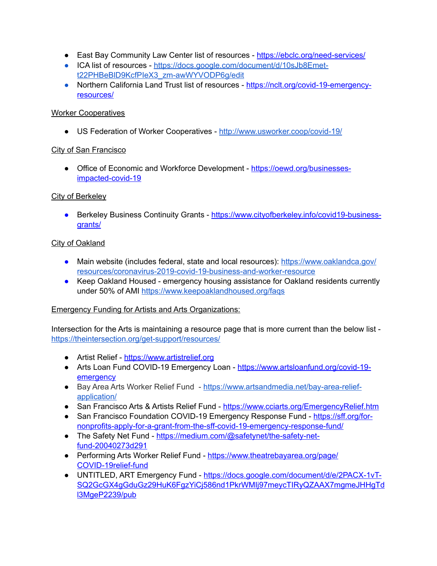- East Bay Community Law Center list of resources -<https://ebclc.org/need-services/>
- [ICA list of resources https://docs.google.com/document/d/10sJb8Emet](https://docs.google.com/document/d/10sJb8Emet-t22PHBeBlD9KcfPIeX3_zm-awWYVODP6g/edit)[t22PHBeBlD9KcfPIeX3\\_zm-awWYVODP6g/edit](https://docs.google.com/document/d/10sJb8Emet-t22PHBeBlD9KcfPIeX3_zm-awWYVODP6g/edit)
- Northern California Land Trust list of resources  [https://nclt.org/covid-19-emergency](https://nclt.org/covid-19-emergency-resources/)[resources/](https://nclt.org/covid-19-emergency-resources/)

### Worker Cooperatives

● US Federation of Worker Cooperatives -<http://www.usworker.coop/covid-19/>

## City of San Francisco

• Office of Economic and Workforce Development [- https://oewd.org/businesses](https://oewd.org/businesses-impacted-covid-19)[impacted-covid-19](https://oewd.org/businesses-impacted-covid-19) 

## City of Berkeley

● Berkeley Business Continuity Grants [- https://www.cityofberkeley.info/covid19-business](https://www.cityofberkeley.info/covid19-business-grants/)[grants/](https://www.cityofberkeley.info/covid19-business-grants/)

## **City of Oakland**

- Main website (includes federal, state and local resources)[:](https://www.oaklandca.gov/resources/coronavirus-2019-covid-19-business-and-worker-resources) [https://www.oaklandca.gov/](https://www.oaklandca.gov/resources/coronavirus-2019-covid-19-business-and-worker-resources*) [resources/coronavirus-2019-covid-19-business-and-worker-resource](https://www.oaklandca.gov/resources/coronavirus-2019-covid-19-business-and-worker-resources*)
- Keep Oakland Housed emergency housing assistance for Oakland residents currently under 50% of AMI<https://www.keepoaklandhoused.org/faqs>

## Emergency Funding for Artists and Arts Organizations:

Intersection for the Arts is maintaining a resource page that is more current than the below list <https://theintersection.org/get-support/resources/>

- Artist Relief https://www.artistrelief.org
- Arts Loan Fund COVID-19 Emergency Loan - [https://www.artsloanfund.org/covid-19](https://www.artsloanfund.org/covid-19-emergency) [emergency](https://www.artsloanfund.org/covid-19-emergency)
- Bay Area Arts Worker Relief Fund - [https://www.artsandmedia.net/bay-area-relief](https://www.artsandmedia.net/bay-area-relief-application/)[application/](https://www.artsandmedia.net/bay-area-relief-application/)
- San Francisco Arts & Artists Relief Fund -<https://www.cciarts.org/EmergencyRelief.htm>
- [San Francisco Foundation COVID-19 Emergency Response Fund https://sff.org/for](https://sff.org/for-nonprofits-apply-for-a-grant-from-the-sff-covid-19-emergency-response-fund/)[nonprofits-apply-for-a-grant-from-the-sff-covid-19-emergency-response-fund/](https://sff.org/for-nonprofits-apply-for-a-grant-from-the-sff-covid-19-emergency-response-fund/)
- The Safety Net Fund  [https://medium.com/@safetynet/the-safety-net](https://medium.com/@safetynet/the-safety-net-fund-20040273d291)[fund-20040273d291](https://medium.com/@safetynet/the-safety-net-fund-20040273d291)
- Performing Arts Worker Relief Fund  [https://www.theatrebayarea.org/page/](https://www.theatrebayarea.org/page/COVID-19relief-fund) [COVID-19relief-fund](https://www.theatrebayarea.org/page/COVID-19relief-fund)
- UNTITLED, ART Emergency Fund  [https://docs.google.com/document/d/e/2PACX-1vT-](https://docs.google.com/document/d/e/2PACX-1vT-SQ2GcGX4gGduGz29HuK6FgzYiCj586nd1PkrWMIj97meycTIRyQZAAX7mgmeJHHgTdl3MgeP2239/pub)[SQ2GcGX4gGduGz29HuK6FgzYiCj586nd1PkrWMIj97meycTIRyQZAAX7mgmeJHHgTd](https://docs.google.com/document/d/e/2PACX-1vT-SQ2GcGX4gGduGz29HuK6FgzYiCj586nd1PkrWMIj97meycTIRyQZAAX7mgmeJHHgTdl3MgeP2239/pub) [l3MgeP2239/pub](https://docs.google.com/document/d/e/2PACX-1vT-SQ2GcGX4gGduGz29HuK6FgzYiCj586nd1PkrWMIj97meycTIRyQZAAX7mgmeJHHgTdl3MgeP2239/pub)